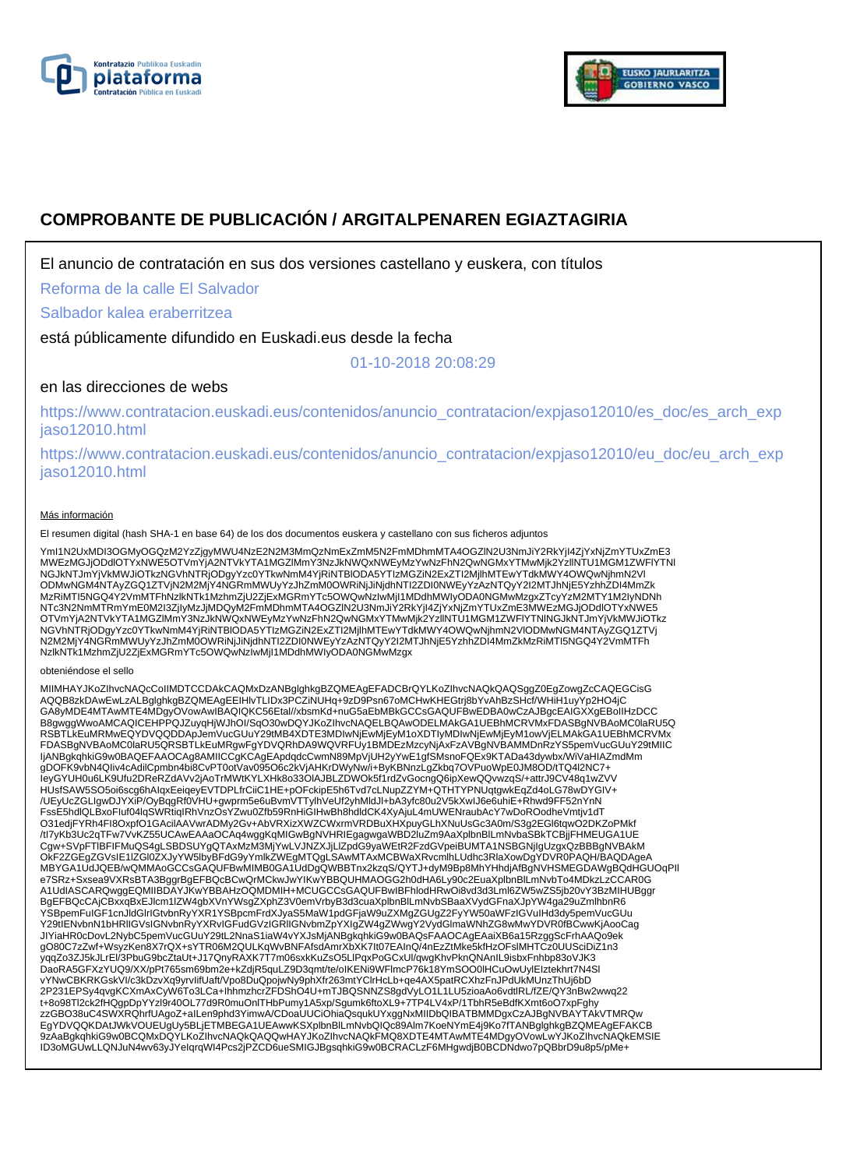



# **COMPROBANTE DE PUBLICACIÓN / ARGITALPENAREN EGIAZTAGIRIA**

El anuncio de contratación en sus dos versiones castellano y euskera, con títulos

Reforma de la calle El Salvador

Salbador kalea eraberritzea

está públicamente difundido en Euskadi.eus desde la fecha

01-10-2018 20:08:29

### en las direcciones de webs

https://www.contratacion.euskadi.eus/contenidos/anuncio\_contratacion/expjaso12010/es\_doc/es\_arch\_exp jaso12010.html

https://www.contratacion.euskadi.eus/contenidos/anuncio\_contratacion/expjaso12010/eu\_doc/eu\_arch\_exp jaso12010.html

#### Más información

El resumen digital (hash SHA-1 en base 64) de los dos documentos euskera y castellano con sus ficheros adjuntos

YmI1N2UxMDI3OGMyOGQzM2YzZjgyMWU4NzE2N2M3MmQzNmExZmM5N2FmMDhmMTA4OGZIN2U3NmJiY2RkYjI4ZjYxNjZmYTUxZmE3<br>MWEzMGJjODdIOTYxNWE5OTVmYjA2NTVkYTA1MGZIMmY3NzJkNWQxNWEyMzYwNzFhN2QwNGMxYTMwMjk2YzIINTU1MGM1ZWFIYTNI<br>NGJkNTJmYjVkMWJiOTkz MzRiMTI5NGQ4Y2VmMTFhNzlkNTk1MzhmZjU2ZjExMGRmYTc5OWQwNzIwMjI1MDdhMWIyODA0NGMwMzgxZTcyYzM2MTY1M2IyNDNh NTc3N2NmMTRmYmE0M2I3ZjIyMzJjMDQyM2FmMDhmMTA4OGZlN2U3NmJiY2RkYjI4ZjYxNjZmYTUxZmE3MWEzMGJjODdlOTYxNWE5 OTVmYjA2NTVkYTA1MGZlMmY3NzJkNWQxNWEyMzYwNzFhN2QwNGMxYTMwMjk2YzllNTU1MGM1ZWFlYTNlNGJkNTJmYjVkMWJiOTkz NGVhNTRjODgyYzc0YTkwNmM4YjRiNTBlODA5YTIzMGZiN2ExZTI2MjlhMTEwYTdkMWY4OWQwNjhmN2VlODMwNGM4NTAyZGQ1ZTVj N2M2MjY4NGRmMWUyYzJhZmM0OWRiNjJiNjdhNTI2ZDI0NWEyYzAzNTQyY2I2MTJhNjE5YzhhZDI4MmZkMzRiMTI5NGQ4Y2VmMTFh NzlkNTk1MzhmZjU2ZjExMGRmYTc5OWQwNzIwMjI1MDdhMWIyODA0NGMwMzgx

#### obteniéndose el sello

MIIMHAYJKoZIhvcNAQcCoIIMDTCCDAkCAQMxDzANBglghkgBZQMEAgEFADCBrQYLKoZIhvcNAQkQAQSggZ0EgZowgZcCAQEGCisG<br>AQQB8zkDAwEwLzALBglghkgBZQMEAgEEIHIvTLIDx3PCZiNUHq+9zD9Psn67oMCHwKHEGtrj8bYvAhBzSHcf/WHiH1uyYp2HO4jC GA8yMDE4MTAwMTE4MDgyOVowAwIBAQIQKC56Etal//xbsmKd+nuG5aEbMBkGCCsGAQUFBwEDBA0wCzAJBgcEAIGXXgEBoIIHzDCC B8gwggWwoAMCAQICEHPPQJZuyqHjWJhOI/SqO30wDQYJKoZIhvcNAQELBQAwODELMAkGA1UEBhMCRVMxFDASBgNVBAoMC0laRU5Q RSBTLkEuMRMwEQYDVQQDDApJemVucGUuY29tMB4XDTE3MDIwNjEwMjEyM1oXDTIyMDIwNjEwMjEyM1owVjELMAkGA1UEBhMCRVMx FDASBgNVBAoMC0laRU5QRSBTLkEuMRgwFgYDVQRhDA9WQVRFUy1BMDEzMzcyNjAxFzAVBgNVBAMMDnRzYS5pemVucGUuY29tMIIC IjANBgkqhkiG9w0BAQEFAAOCAg8AMIICCgKCAgEApdqdcCwmN89MpVjUH2yYwE1gfSMsnoFQEx9KTADa43dywbx/WiVaHIAZmdMm gDOFK9vbN4QIiv4cAdilCpmbn4bi8CvPT0otVav095O6c2kVjAHKrDWyNw/i+ByKBNnzLgZkbq7OVPuoWpE0JM8OD/tTQ4l2NC7+ IeyGYUH0u6LK9Ufu2DReRZdAVv2jAoTrMWtKYLXHk8o33OlAJBLZDWOk5f1rdZvGocngQ6ipXewQQvwzqS/+attrJ9CV48q1wZVV HUsfSAW5SO5oi6scg6hAIqxEeiqeyEVTDPLfrCiiC1HE+pOFckipE5h6Tvd7cLNupZZYM+QTHTYPNUqtgwkEqZd4oLG78wDYGIV+ /UEyUcZGLIgwDJYXiP/OyBqgRf0VHU+gwprm5e6uBvmVTTylhVeUf2yhMldJl+bA3yfc80u2V5kXwIJ6e6uhiE+Rhwd9FF52nYnN FssE5hdlQLBxoFluf04lqSWRtiqIRhVnzOsYZwu0Zfb59RnHiGIHwBh8hdldCK4XyAjuL4mUWENraubAcY7wDoROodheVmtjv1dT<br>O31edjFYRh4Fl8OxpfO1GAcilAAVwrADMy2Gv+AbVRXizXWZCWxrmVRDBuXHXpuyGLhXNuUsGc3A0m/S3g2EGl6tqwO2DKZoPMkf /tI7yKb3Uc2qTFw7VvKZ55UCAwEAAaOCAq4wggKqMIGwBgNVHRIEgagwgaWBD2luZm9AaXplbnBlLmNvbaSBkTCBjjFHMEUGA1UE Cgw+SVpFTlBFIFMuQS4gLSBDSUYgQTAxMzM3MjYwLVJNZXJjLlZpdG9yaWEtR2FzdGVpeiBUMTA1NSBGNjIgUzgxQzBBBgNVBAkM OkF2ZGEgZGVsIE1lZGl0ZXJyYW5lbyBFdG9yYmlkZWEgMTQgLSAwMTAxMCBWaXRvcmlhLUdhc3RlaXowDgYDVR0PAQH/BAQDAgeA MBYGA1UdJQEB/wQMMAoGCCsGAQUFBwMIMB0GA1UdDgQWBBTnx2kzqS/QYTJ+dyM9Bp8MhYHhdjAfBgNVHSMEGDAWgBQdHGUOqPIl e7SRz+Sxsea9VXRsBTA3BggrBgEFBQcBCwQrMCkwJwYIKwYBBQUHMAOGG2h0dHA6Ly90c2EuaXplbnBlLmNvbTo4MDkzLzCCAR0G A1UdIASCARQwggEQMIIBDAYJKwYBBAHzOQMDMIH+MCUGCCsGAQUFBwIBFhlodHRwOi8vd3d3Lml6ZW5wZS5jb20vY3BzMIHUBggr BgEFBQcCAjCBxxqBxEJlcm1lZW4gbXVnYWsgZXphZ3V0emVrbyB3d3cuaXplbnBlLmNvbSBaaXVydGFnaXJpYW4ga29uZmlhbnR6 YSBpemFuIGF1cnJldGlrIGtvbnRyYXR1YSBpcmFrdXJyaS5MaW1pdGFjaW9uZXMgZGUgZ2FyYW50aWFzIGVuIHd3dy5pemVucGUu Y29tIENvbnN1bHRlIGVsIGNvbnRyYXRvIGFudGVzIGRlIGNvbmZpYXIgZW4gZWwgY2VydGlmaWNhZG8wMwYDVR0fBCwwKjAooCag JIYiaHR0cDovL2NybC5pemVucGUuY29tL2NnaS1iaW4vYXJsMjANBgkqhkiG9w0BAQsFAAOCAgEAaiXB6a15RzggScFrhAAQo9ek gO80C7zZwf+WsyzKen8X7rQX+sYTR06M2QULKqWvBNFAfsdAmrXbXK7It07EAInQ/4nEzZtMke5kfHzOFslMHTCz0UUSciDiZ1n3 yqqZo3ZJ5kJLrEl/3PbuG9bcZtaUt+J17QnyRAXK7T7m06sxkKuZsO5LlPqxPoGCxUl/qwgKhvPknQNAnIL9isbxFnhbp83oVJK3 DaoRA5GFXzYUQ9/XX/pPt765sm69bm2e+kZdjR5quLZ9D3qmt/te/oIKENi9WFlmcP76k18YmSOO0IHCuOwUylEIztekhrt7N4Sl<br>vYNwCBKRKGskVI/c3kDzvXq9yrvlifUaft/Vpo8DuQpojwNy9phXfr263mtYClrHcLb+qe4AX5patRCXhzFnJPdUkMUnzThUj6bD 2P231EPSy4qvgKCXmAxCyW6To3LCa+IhhmzhcrZFDShO4U+mTJBQSNNZS8gdVyLO1L1LU5zioaAo6vdtlRL/fZE/QY3nBw2wwq22 t+8o98Tl2ck2fHQgpDpYYzl9r40OL77d9R0muOnlTHbPumy1A5xp/Sgumk6ftoXL9+7TP4LV4xP/1TbhR5eBdfKXmt6oO7xpFghy zzGBO38uC4SWXRQhrfUAgoZ+aILen9phd3YimwA/CDoaUUCiOhiaQsqukUYxggNxMIIDbQIBATBMMDgxCzAJBgNVBAYTAkVTMRQw EgYDVQQKDAtJWkVOUEUgUy5BLjETMBEGA1UEAwwKSXplbnBlLmNvbQIQc89Alm7KoeNYmE4j9Ko7fTANBglghkgBZQMEAgEFAKCB 9zAaBgkqhkiG9w0BCQMxDQYLKoZIhvcNAQkQAQQwHAYJKoZIhvcNAQkFMQ8XDTE4MTAwMTE4MDgyOVowLwYJKoZIhvcNAQkEMSIE ID3oMGUwLLQNJuN4wv63yJYeIqrqWI4Pcs2jPZCD6ueSMIGJBgsqhkiG9w0BCRACLzF6MHgwdjB0BCDNdwo7pQBbrD9u8p5/pMe+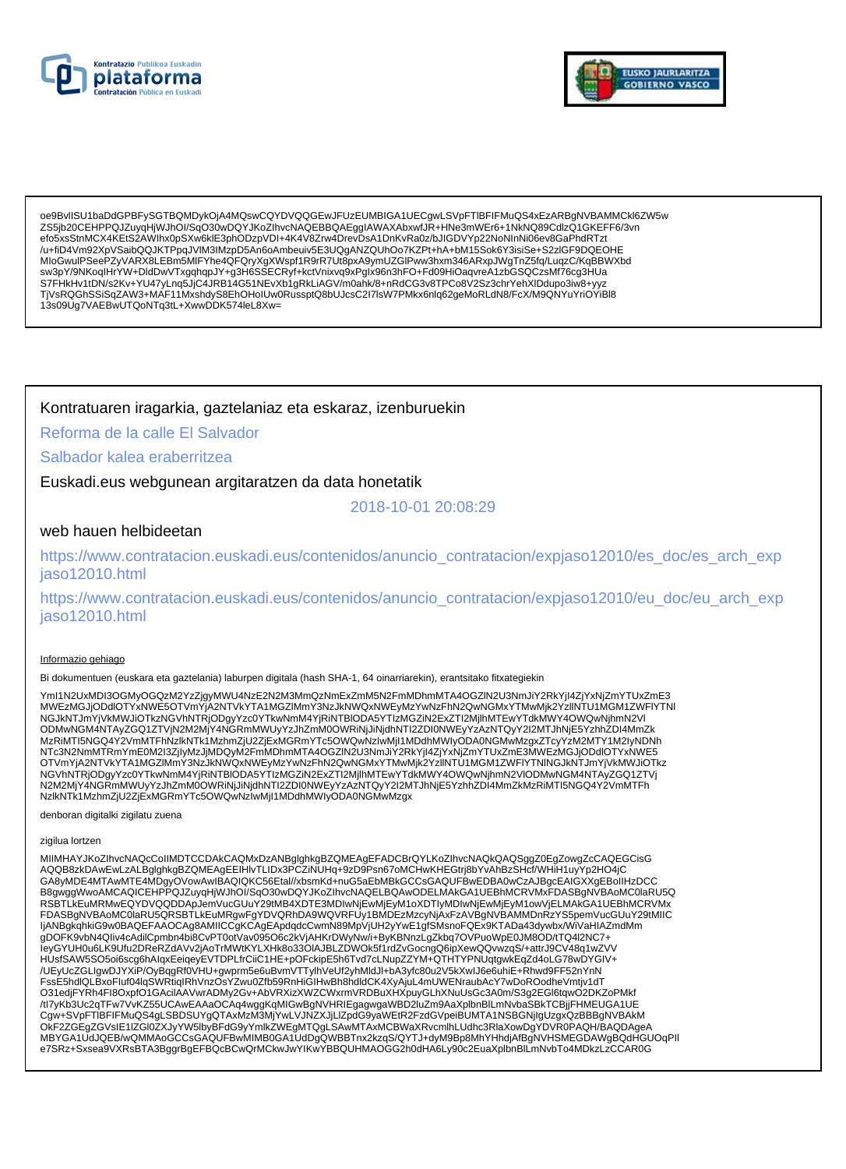



oe9BvlISU1baDdGPBFySGTBQMDykOjA4MQswCQYDVQQGEwJFUzEUMBIGA1UECgwLSVpFTIBFIFMuQS4xEzARBgNVBAMMCkl6ZW5w ZSSib20CEHPPQJZuyqHjWJhOl/SqO30wDQYJKoZIhvcNAQEBBQAEggIAWAXAbxwfJR+HNe3mWEr6+1NkNQ89CdlzQ1GKEFF6/3vn efo5xsStnMCX4KEtS2AWIhx0pSXw6klE3phODzpVDI+4K4V8Zrw4DrevDsA1DnKvRa0z/bJIGDVYp22NoNInNi06ev8GaPhdRTzt /u+fiD4Vm92XpVSaibQQJKTPpqJVlM3IMzpD5An6oAmbeuiv5E3UQgANZQUhOo7KZPt+hA+bM15Sok6Y3isiSe+S2zIGF9DQEOHE wingthrow with the approximation of the approximation of the approximation of the approximation of the approximation of the approximation of the approximation of the approximation of the approximation of the approximation S7FHkHv1tDN/s2Kv+YU47yLnq5JjC4JRB14G51NEvXb1gRkLiAGV/m0ahk/8+nRdCG3v8TPCo8V2Sz3chrYehXlDdupo3iw8+yyz TjVsRQGhSSiSqZAW3+MAF11MxshdyS8EhOHolUw0RussptQ8bUJcsC2l7lsW7PMkx6nlq62geMoRLdN8/FcX/M9QNYuYriOYiBl8 13s09Ug7VAEBwUTQoNTq3tL+XwwDDK574leL8Xw=

### Kontratuaren iragarkia, gaztelaniaz eta eskaraz, izenburuekin

### Reforma de la calle El Salvador

## Salbador kalea eraberritzea

Euskadi.eus webgunean argitaratzen da data honetatik

2018-10-01 20:08:29

### web hauen helbideetan

https://www.contratacion.euskadi.eus/contenidos/anuncio\_contratacion/expjaso12010/es\_doc/es\_arch\_exp jaso12010.html

https://www.contratacion.euskadi.eus/contenidos/anuncio\_contratacion/expjaso12010/eu\_doc/eu\_arch\_exp jaso12010.html

#### Informazio gehiago

Bi dokumentuen (euskara eta gaztelania) laburpen digitala (hash SHA-1, 64 oinarriarekin), erantsitako fitxategiekin

Yml1N2UxMDI3OGMyOGQzM2YzZjgyMWU4NzE2N2M3MmQzNmExZmM5N2FmMDhmMTA4OGZIN2U3NmJiY2RkYjI4ZjYxNjZmYTUxZmE3 MWEzMGJjODdlOTYxNWE5OTVmYjA2NTVkYTA1MGZIMmY3NzJkNWQxNWEyMzYwNzFhN2QwNGMxYTMwMjk2YzlINTU1MGM1ZWFIYTNI wwezwoard market of virtual market of the indezimin toward weak weak warm in the water was a market when it was the<br>NGUNTIM WARNTHAND IN THE WARD OF THE INTERNATIONAL THE CONTRACTED ON A CONTRACTED IN THE WATER WARD WANTHO MzRiMTI5NGQ4Y2VmMTFhNzlkNTk1MzhmZjU2ZjExMGRmYTc5OWQwNzlwMjI1MDdhMWIyODA0NGMwMzgxZTcyYzM2MTY1M2IyNDNh NTc3N2NmMTRmYmE0M2I3ZjlyMzJjMDQyM2FmMDhmMTA4OGZIN2U3NmJiY2RkYjl4ZjYxNjZmYTUxZmE3MWEzMGJjODdlOTYxNWE5 OTVmYjA2NTVkYTA1MGZIMmY3NzJkNWQxNWEyMzYwNzFhN2QwNGMxYTMwMjk2YzIINTÚ1MGM1ZWFIYTNINGJkNTJmYjVkMWJiOTkz NGVhNTRjODgyYzc0YTkwNmM4YjRiNTBIODA5YTIzMGZiN2ExZTI2MjlhMTEwYTdkMWY4OWQwNjhmN2VIODMwNGM4NTAyZGQ1ZTVj N2M2MjY4NGRmMWUyYzJhZmM0OWRiNjJiNjdhNTI2ZDI0NWEyYzAzNTQyY2I2MTJhNjE5YzhhZDI4MmZkMzRiMTI5NGQ4Y2VmMTFh NzikNTK1MzhmZjU2ZjExMGRmYTc5OWQwNzlwMjI1MDdhMWIyODA0NGMwMzgx

denboran digitalki zigilatu zuena

#### zigilua lortzen

MIIMHAYJKoZIhvcNAQcCoIIMDTCCDAkCAQMxDzANBqlqhkqBZQMEAqEFADCBrQYLKoZIhvcNAQkQAQSqqZ0EqZowqZcCAQEGCisG AQQB8zkDAwEwLzALBglghkgBZQMEAgEEIHlvTLIDx3PCZiNUHq+9zD9Psn67oMCHwKHEGtrj8bYvAhBzSHcf/WHiH1uyYp2HO4jC GA8yMDE4MTAwMTE4MDgyOVowAwIBAQIQKC56Etal//xbsmKd+nuG5aEbMBkGCCsGAQUFBwEDBA0wCzAJBgcEAIGXXgEBoIIHzDCC B8gwggWwoAMCAQICEHPPQJZuyqHjWJhOI/SqO30wDQYJKoZIhvcNAQELBQAwODELMAkGA1UEBhMCRVMxFDASBgNVBAoMC0laRU5Q RSBTLKEuMRMwEQYDVQQDDApJemVucGUuY29tMB4XDTE3MDIwNjEwMjEyM1oXDTIyMDIwNjEwMjEyM1owVjELMAkGA1UEBhMCRVMx FDASBgNVBAoMC0laRU5QRSBTLkEuMRgwFgYDVQRhDA9WQVRFUy1BMDEzMzcyNjAxFzAVBgNVBAMMDnRzYS5pemVucGUuY29tMIIC IjANBgkqhkiG9w0BAQEFAAOCAg8AMIICCgKCAgEApdqdcCwmN89MpVjUH2yYwE1gfSMsnoFQEx9KTADa43dywbx/WiVaHIAZmdMm gDOFK9vbN4Qliv4cAdilCpmbn4bi8CvPT0otVav095O6c2kVjAHKrDWyNw/i+ByKBNnzLgZkbq7OVPuoWpE0JM8OD/tTQ4l2NC7+<br>leyGYUH0u6LK9Ufu2DReRZdAVv2jAoTrMWtKYLXHk8o33OIAJBLZDWOk5f1rdZvGocngQ6ipXewQQvwzqS/+attrJ9CV48q1wZVV HUsfSAW5SO5oi6scg6hAlqxEeiqeyEVTDPLfrCiiC1HE+pOFckipE5h6Tvd7cLNupZZYM+QTHTYPNUqtgwkEqZd4oLG78wDYGIV+ /UEyUcZGLIgwDJYXiP/OyBqgRf0VHU+gwprm5e6uBvmVTTylhVeUf2yhMldJl+bA3yfc80u2V5kXwlJ6e6uhiE+Rhwd9FF52nYnN FssE5hdlQLBxoFluf04lqSWRtiqIRhVnzOsYZwu0Zfb59RnHiGIHwBh8hdldCK4XyAjuL4mUWENraubAcY7wDoROodheVmtjv1dT O31edjFYRh4Fl8OxpfO1GAcilAAVwrADMy2Gv+AbVRXizXWZCWxrmVRDBuXHXpuyGLhXNuUsGc3A0m/S3g2EGl6tqwO2DKZoPMkf /tl7yKb3Uc2qTFw7VvKZ55UCAwEAAaOCAq4wggKqMIGwBgNVHRIEgagwgaWBD2luZm9AaXplbnBlLmNvbaSBkTCBjjFHMEUGA1UE Cgw+SVpFTIBFIFMuQS4gLSBDSUYgQTAxMzM3MjYwLVJNZXJjLlZpdG9yaWEtR2FzdGVpeiBUMTA1NSBGNjIgUzgxQzBBBgNVBAkM OKF2ZGEgZGVsIE1IZGI0ZXJyYW5lbyBFdG9yYmlkZWEgMTQgLSAwMTAxMCBWaXRvcmlhLUdhc3RlaXowDgYDVR0PAQH/BAQDAgeA<br>MBYGA1UdJQEB/wQMMAoGCCsGAQUFBwMIMB0GA1UdDgQWBBTnx2kzqS/QYTJ+dyM9Bp8MhYHhdjAfBgNVHSMEGDAWgBQdHGUOqPll e7SRz+Sxsea9VXRsBTA3BggrBgEFBQcBCwQrMCkwJwYIKwYBBQUHMAOGG2h0dHA6Ly90c2EuaXplbnBlLmNvbTo4MDkzLzCCAR0G